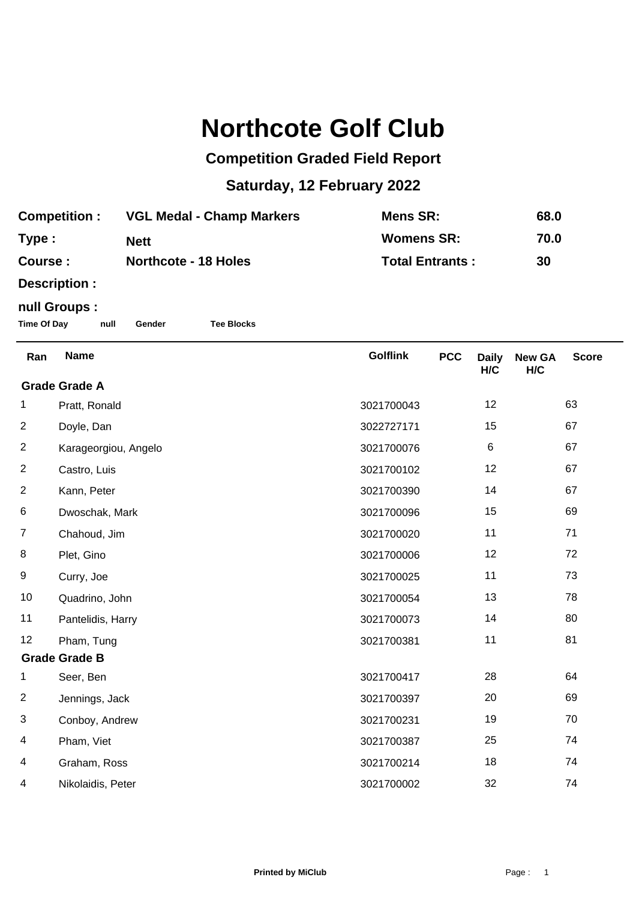## **Northcote Golf Club**

## **Competition Graded Field Report**

## **Saturday, 12 February 2022**

| <b>Competition:</b> | <b>VGL Medal - Champ Markers</b> | Mens SR:               | 68.0 |
|---------------------|----------------------------------|------------------------|------|
| Type:               | <b>Nett</b>                      | <b>Womens SR:</b>      | 70.0 |
| <b>Course:</b>      | <b>Northcote - 18 Holes</b>      | <b>Total Entrants:</b> | 30   |

**Description :**

## **null Groups :**

**Time Of Day null Gender Tee Blocks**

| Ran                  | <b>Name</b>          | <b>Golflink</b> | <b>PCC</b> | <b>Daily</b><br>H/C | <b>New GA</b><br>H/C | <b>Score</b> |
|----------------------|----------------------|-----------------|------------|---------------------|----------------------|--------------|
| <b>Grade Grade A</b> |                      |                 |            |                     |                      |              |
| 1                    | Pratt, Ronald        | 3021700043      |            | 12                  |                      | 63           |
| $\overline{2}$       | Doyle, Dan           | 3022727171      |            | 15                  |                      | 67           |
| $\overline{2}$       | Karageorgiou, Angelo | 3021700076      |            | $\,6$               |                      | 67           |
| $\overline{2}$       | Castro, Luis         | 3021700102      |            | 12                  |                      | 67           |
| $\overline{2}$       | Kann, Peter          | 3021700390      |            | 14                  |                      | 67           |
| 6                    | Dwoschak, Mark       | 3021700096      |            | 15                  |                      | 69           |
| $\overline{7}$       | Chahoud, Jim         | 3021700020      |            | 11                  |                      | 71           |
| 8                    | Plet, Gino           | 3021700006      |            | 12                  |                      | 72           |
| 9                    | Curry, Joe           | 3021700025      |            | 11                  |                      | 73           |
| 10                   | Quadrino, John       | 3021700054      |            | 13                  |                      | 78           |
| 11                   | Pantelidis, Harry    | 3021700073      |            | 14                  |                      | 80           |
| 12                   | Pham, Tung           | 3021700381      |            | 11                  |                      | 81           |
| <b>Grade Grade B</b> |                      |                 |            |                     |                      |              |
| 1                    | Seer, Ben            | 3021700417      |            | 28                  |                      | 64           |
| $\overline{2}$       | Jennings, Jack       | 3021700397      |            | 20                  |                      | 69           |
| 3                    | Conboy, Andrew       | 3021700231      |            | 19                  |                      | 70           |
| 4                    | Pham, Viet           | 3021700387      |            | 25                  |                      | 74           |
| 4                    | Graham, Ross         | 3021700214      |            | 18                  |                      | 74           |
| 4                    | Nikolaidis, Peter    | 3021700002      |            | 32                  |                      | 74           |